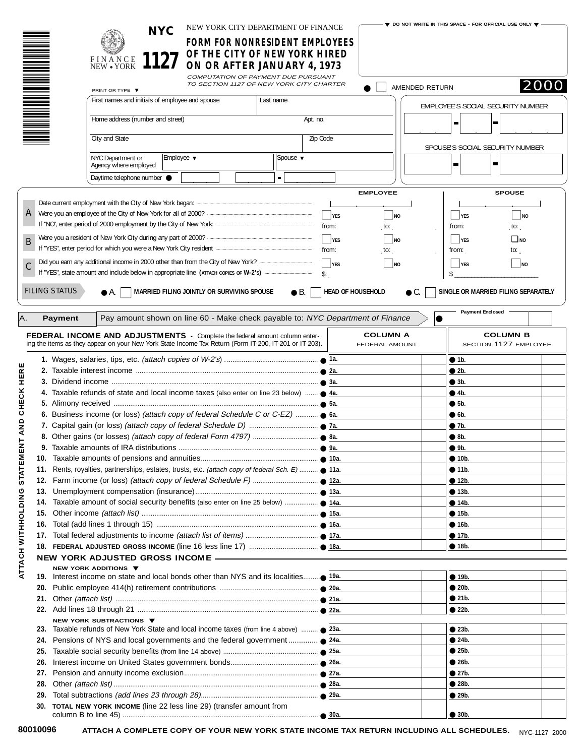|                                                     |                                                                                         |                      |                                                                    | <b>NYC</b>     | NEW YORK CITY DEPARTMENT OF FINANCE<br>FORM FOR NONRESIDENT EMPLOYEES                                                                                                                       |           |                         |                          |                                   |                | $\blacktriangledown$ do not write in this space - for official use only $\blacktriangledown$ |                                          |      |
|-----------------------------------------------------|-----------------------------------------------------------------------------------------|----------------------|--------------------------------------------------------------------|----------------|---------------------------------------------------------------------------------------------------------------------------------------------------------------------------------------------|-----------|-------------------------|--------------------------|-----------------------------------|----------------|----------------------------------------------------------------------------------------------|------------------------------------------|------|
|                                                     |                                                                                         |                      | FINANCE<br>NEW • YORK                                              | 1127           | OF THE CITY OF NEW YORK HIRED<br>ON OR AFTER JANUARY 4, 1973                                                                                                                                |           |                         |                          |                                   |                |                                                                                              |                                          |      |
|                                                     |                                                                                         |                      |                                                                    |                | COMPUTATION OF PAYMENT DUE PURSUANT<br>TO SECTION 1127 OF NEW YORK CITY CHARTER                                                                                                             |           |                         |                          |                                   | AMENDED RETURN |                                                                                              |                                          | 2000 |
|                                                     |                                                                                         |                      | PRINT OR TYPE ▼<br>First names and initials of employee and spouse |                |                                                                                                                                                                                             | Last name |                         |                          |                                   |                |                                                                                              |                                          |      |
|                                                     |                                                                                         |                      |                                                                    |                |                                                                                                                                                                                             |           |                         |                          |                                   |                | EMPLOYEE'S SOCIAL SECURITY NUMBER                                                            |                                          |      |
|                                                     |                                                                                         |                      | Home address (number and street)                                   |                |                                                                                                                                                                                             |           | Apt. no.                |                          |                                   |                | п                                                                                            | ш                                        |      |
|                                                     |                                                                                         |                      | City and State                                                     |                |                                                                                                                                                                                             |           | Zip Code                |                          |                                   |                |                                                                                              | SPOUSE'S SOCIAL SECURITY NUMBER          |      |
|                                                     |                                                                                         |                      | NYC Department or                                                  | Employee ▼     |                                                                                                                                                                                             | Spouse ▼  |                         |                          |                                   |                |                                                                                              | ш                                        |      |
| Agency where employed<br>Daytime telephone number ● |                                                                                         |                      |                                                                    | $\blacksquare$ |                                                                                                                                                                                             |           |                         |                          |                                   |                |                                                                                              |                                          |      |
|                                                     |                                                                                         |                      |                                                                    |                |                                                                                                                                                                                             |           |                         |                          | <b>EMPLOYEE</b>                   |                |                                                                                              | <b>SPOUSE</b>                            |      |
|                                                     |                                                                                         |                      |                                                                    |                |                                                                                                                                                                                             |           |                         |                          |                                   |                |                                                                                              |                                          |      |
|                                                     |                                                                                         |                      |                                                                    |                |                                                                                                                                                                                             |           |                         | $\Box$ YES               | NQ                                |                | $\Box$ YES                                                                                   | $\Box$ NO                                |      |
|                                                     |                                                                                         |                      |                                                                    |                |                                                                                                                                                                                             |           |                         | from:                    | $\mathsf{to}$ :                   |                | from:                                                                                        | $\mathsf{to}$ :                          |      |
| B                                                   |                                                                                         |                      |                                                                    |                |                                                                                                                                                                                             |           | $\Box$ YES<br><b>NO</b> |                          |                                   |                | $\overline{\phantom{a}}$ YES                                                                 | $\Box$ NO                                |      |
|                                                     |                                                                                         |                      |                                                                    |                |                                                                                                                                                                                             |           |                         | from:                    | to:                               |                | from:                                                                                        | to: $\overline{a}$                       |      |
| C                                                   |                                                                                         |                      |                                                                    |                |                                                                                                                                                                                             |           |                         | $\Box$ yes               | $\overline{\phantom{0}}$ NO       |                | $\frac{1}{2}$ YES                                                                            | $\Box$ No                                |      |
|                                                     |                                                                                         |                      |                                                                    |                |                                                                                                                                                                                             |           | \$:                     |                          |                                   |                |                                                                                              |                                          |      |
|                                                     |                                                                                         | <b>FILING STATUS</b> | $\bullet$ A.                                                       |                | MARRIED FILING JOINTLY OR SURVIVING SPOUSE                                                                                                                                                  |           | $\bullet$ B.            | <b>HEAD OF HOUSEHOLD</b> |                                   | $\bullet$ C.   |                                                                                              | SINGLE OR MARRIED FILING SEPARATELY      |      |
|                                                     |                                                                                         |                      |                                                                    |                |                                                                                                                                                                                             |           |                         |                          |                                   |                |                                                                                              |                                          |      |
| A.                                                  |                                                                                         | <b>Payment</b>       |                                                                    |                | Pay amount shown on line 60 - Make check payable to: NYC Department of Finance                                                                                                              |           |                         |                          |                                   |                | <b>Payment Enclosed</b>                                                                      |                                          |      |
|                                                     |                                                                                         |                      |                                                                    |                |                                                                                                                                                                                             |           |                         |                          |                                   |                |                                                                                              |                                          |      |
|                                                     |                                                                                         |                      |                                                                    |                | <b>FEDERAL INCOME AND ADJUSTMENTS</b> - Complete the federal amount column enter-<br>ing the items as they appear on your New York State Income Tax Return (Form IT-200, IT-201 or IT-203). |           |                         |                          | <b>COLUMN A</b><br>FEDERAL AMOUNT |                |                                                                                              | <b>COLUMN B</b><br>SECTION 1127 EMPLOYEE |      |
|                                                     |                                                                                         |                      |                                                                    |                |                                                                                                                                                                                             |           |                         |                          |                                   |                | • 1b.                                                                                        |                                          |      |
| HERE                                                |                                                                                         |                      |                                                                    |                |                                                                                                                                                                                             |           |                         |                          |                                   |                | • 2b.                                                                                        |                                          |      |
|                                                     |                                                                                         |                      |                                                                    |                |                                                                                                                                                                                             |           |                         |                          |                                   | $\bullet$ 3b.  |                                                                                              |                                          |      |
| CHECK                                               | 4. Taxable refunds of state and local income taxes (also enter on line 23 below)  • 4a. |                      |                                                                    |                |                                                                                                                                                                                             |           |                         |                          |                                   | • 4b.          |                                                                                              |                                          |      |
|                                                     |                                                                                         |                      |                                                                    |                |                                                                                                                                                                                             |           |                         |                          |                                   |                | •5b.                                                                                         |                                          |      |
|                                                     |                                                                                         |                      |                                                                    |                |                                                                                                                                                                                             |           |                         |                          |                                   |                | $\bullet$ 6b.                                                                                |                                          |      |
| AND                                                 |                                                                                         |                      |                                                                    |                |                                                                                                                                                                                             |           |                         |                          |                                   |                | • 7b.<br>$\bullet$ 8b.                                                                       |                                          |      |
|                                                     |                                                                                         |                      |                                                                    |                |                                                                                                                                                                                             |           |                         |                          |                                   |                | 9b.                                                                                          |                                          |      |
| ш<br>딣                                              |                                                                                         |                      |                                                                    |                |                                                                                                                                                                                             |           |                         |                          |                                   |                | • 10b.                                                                                       |                                          |      |
|                                                     | 11.                                                                                     |                      |                                                                    |                | Rents, royalties, partnerships, estates, trusts, etc. (attach copy of federal Sch. E)  11a.                                                                                                 |           |                         |                          |                                   |                | • 11b.                                                                                       |                                          |      |
| STATI                                               | 12.                                                                                     |                      |                                                                    |                |                                                                                                                                                                                             |           |                         |                          |                                   |                | • 12b.                                                                                       |                                          |      |
|                                                     | 13.                                                                                     |                      |                                                                    |                |                                                                                                                                                                                             |           |                         |                          |                                   |                | • 13b.                                                                                       |                                          |      |
|                                                     | 14.                                                                                     |                      |                                                                    |                |                                                                                                                                                                                             |           |                         |                          |                                   |                | • 14b.                                                                                       |                                          |      |
| ATTACH WITHOLDING                                   | 15.                                                                                     |                      |                                                                    |                |                                                                                                                                                                                             |           |                         |                          |                                   |                | • 15b.                                                                                       |                                          |      |
|                                                     | 16.                                                                                     |                      |                                                                    |                |                                                                                                                                                                                             |           |                         |                          |                                   |                | • 16b.                                                                                       |                                          |      |
|                                                     | 17.                                                                                     |                      |                                                                    |                |                                                                                                                                                                                             |           |                         |                          |                                   |                | • 17b.                                                                                       |                                          |      |
|                                                     |                                                                                         |                      |                                                                    |                |                                                                                                                                                                                             |           |                         |                          |                                   |                | • 18b.                                                                                       |                                          |      |
|                                                     |                                                                                         |                      | NEW YORK ADDITIONS ▼                                               |                | NEW YORK ADJUSTED GROSS INCOME -                                                                                                                                                            |           |                         |                          |                                   |                |                                                                                              |                                          |      |
|                                                     | 19.                                                                                     |                      |                                                                    |                | Interest income on state and local bonds other than NYS and its localities● 19a.                                                                                                            |           |                         |                          |                                   |                | • 19b.                                                                                       |                                          |      |
|                                                     | 20.                                                                                     |                      |                                                                    |                |                                                                                                                                                                                             |           |                         |                          | • 20b.                            |                |                                                                                              |                                          |      |
|                                                     | 21.                                                                                     |                      |                                                                    |                |                                                                                                                                                                                             |           |                         |                          | • 21b.                            |                |                                                                                              |                                          |      |
|                                                     |                                                                                         |                      |                                                                    |                |                                                                                                                                                                                             |           |                         |                          |                                   |                | • 22b.                                                                                       |                                          |      |
|                                                     | NEW YORK SUBTRACTIONS ▼                                                                 |                      |                                                                    |                |                                                                                                                                                                                             |           |                         |                          |                                   |                |                                                                                              |                                          |      |
|                                                     | 23. Taxable refunds of New York State and local income taxes (from line 4 above)  23a.  |                      |                                                                    |                |                                                                                                                                                                                             |           |                         | • 23b.<br>• 24b.         |                                   |                |                                                                                              |                                          |      |
|                                                     | Pensions of NYS and local governments and the federal government ● 24a.<br>24.<br>25.   |                      |                                                                    |                |                                                                                                                                                                                             |           |                         |                          | • 25b.                            |                |                                                                                              |                                          |      |
|                                                     | 26.                                                                                     |                      |                                                                    |                |                                                                                                                                                                                             |           |                         |                          |                                   |                | • 26b.                                                                                       |                                          |      |
|                                                     | 27.                                                                                     |                      |                                                                    |                |                                                                                                                                                                                             |           |                         |                          |                                   |                | • 27b.                                                                                       |                                          |      |
|                                                     | 28.                                                                                     |                      |                                                                    |                |                                                                                                                                                                                             |           |                         |                          |                                   |                | • 28b.                                                                                       |                                          |      |
|                                                     | 29.                                                                                     |                      |                                                                    |                |                                                                                                                                                                                             |           |                         |                          |                                   |                | • 29b.                                                                                       |                                          |      |
|                                                     |                                                                                         |                      |                                                                    |                | 30. TOTAL NEW YORK INCOME (line 22 less line 29) (transfer amount from                                                                                                                      |           |                         |                          |                                   |                |                                                                                              |                                          |      |
|                                                     |                                                                                         |                      |                                                                    |                |                                                                                                                                                                                             |           |                         |                          |                                   |                | • 30b.                                                                                       |                                          |      |